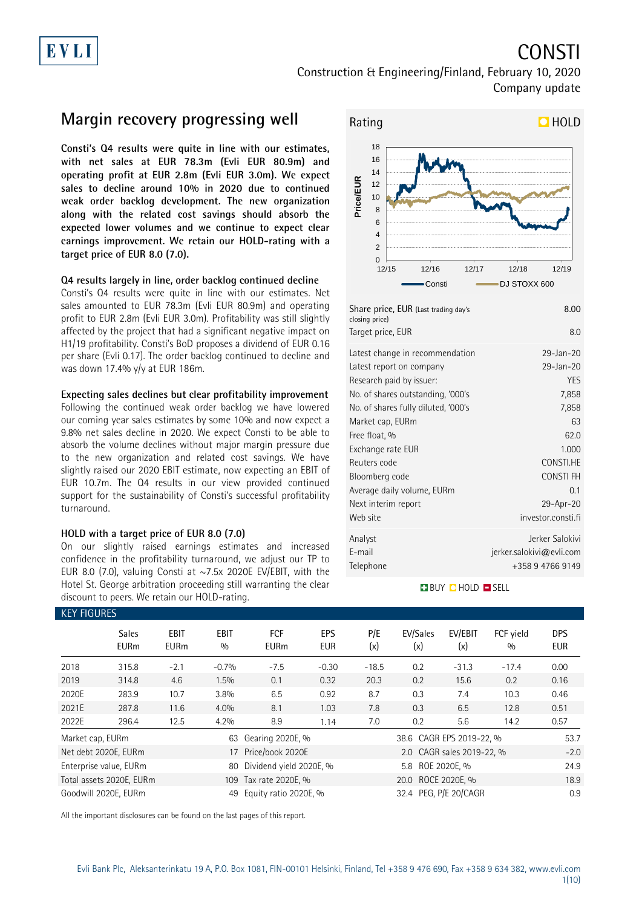# EVLI

## CONSTI

Construction & Engineering/Finland, February 10, 2020 Company update

### **Margin recovery progressing well**

**Consti's Q4 results were quite in line with our estimates, with net sales at EUR 78.3m (Evli EUR 80.9m) and operating profit at EUR 2.8m (Evli EUR 3.0m). We expect sales to decline around 10% in 2020 due to continued weak order backlog development. The new organization along with the related cost savings should absorb the expected lower volumes and we continue to expect clear earnings improvement. We retain our HOLD-rating with a target price of EUR 8.0 (7.0).**

### **Q4 results largely in line, order backlog continued decline**

Consti's Q4 results were quite in line with our estimates. Net sales amounted to EUR 78.3m (Evli EUR 80.9m) and operating profit to EUR 2.8m (Evli EUR 3.0m). Profitability was still slightly affected by the project that had a significant negative impact on H1/19 profitability. Consti's BoD proposes a dividend of EUR 0.16 per share (Evli 0.17). The order backlog continued to decline and was down 17.4% y/y at EUR 186m.

#### **Expecting sales declines but clear profitability improvement**

Following the continued weak order backlog we have lowered our coming year sales estimates by some 10% and now expect a 9.8% net sales decline in 2020. We expect Consti to be able to absorb the volume declines without major margin pressure due to the new organization and related cost savings. We have slightly raised our 2020 EBIT estimate, now expecting an EBIT of EUR 10.7m. The Q4 results in our view provided continued support for the sustainability of Consti's successful profitability turnaround.

### **HOLD with a target price of EUR 8.0 (7.0)**

On our slightly raised earnings estimates and increased confidence in the profitability turnaround, we adjust our TP to EUR 8.0 (7.0), valuing Consti at  $\sim$  7.5x 2020E EV/EBIT, with the Hotel St. George arbitration proceeding still warranting the clear discount to peers. We retain our HOLD-rating.



| $1181$ C price, LOTT (Last trading au , s<br>closing price) |                             |
|-------------------------------------------------------------|-----------------------------|
| Target price, EUR                                           | 8.0                         |
| Latest change in recommendation                             | 29-Jan-20                   |
| Latest report on company                                    | 29-Jan-20                   |
| Research paid by issuer:                                    | <b>YES</b>                  |
| No. of shares outstanding, '000's                           | 7,858                       |
| No. of shares fully diluted, '000's                         | 7,858                       |
| Market cap, EURm                                            | 63                          |
| Free float, %                                               | 62.0                        |
| Exchange rate EUR                                           | 1.000                       |
| Reuters code                                                | CONSTI.HE                   |
| Bloomberg code                                              | <b>CONSTIFH</b>             |
| Average daily volume, EURm                                  | 0.1                         |
| Next interim report                                         | 29-Apr-20                   |
| Web site                                                    | investor.consti.fi          |
| Analyst                                                     | Jerker Salokivi             |
| E-mail                                                      | $j$ erker.salokivi@evli.com |
| Telephone                                                   | +358 9 4766 9149            |
|                                                             |                             |

#### **BUY CHOLD ESELL**

| <b>KEY FIGURES</b> |                             |                            |                    |                         |                   |            |                          |                           |                  |                          |
|--------------------|-----------------------------|----------------------------|--------------------|-------------------------|-------------------|------------|--------------------------|---------------------------|------------------|--------------------------|
|                    | <b>Sales</b><br><b>EURm</b> | <b>EBIT</b><br><b>EURm</b> | <b>EBIT</b><br>0/0 | FCF<br><b>EURm</b>      | EPS<br><b>EUR</b> | P/E<br>(x) | EV/Sales<br>(x)          | EV/EBIT<br>(x)            | FCF vield<br>0/0 | <b>DPS</b><br><b>EUR</b> |
| 2018               | 315.8                       | $-2.1$                     | $-0.7%$            | $-7.5$                  | $-0.30$           | $-18.5$    | 0.2                      | $-31.3$                   | $-17.4$          | 0.00                     |
| 2019               | 314.8                       | 4.6                        | $1.5\%$            | 0.1                     | 0.32              | 20.3       | 0.2                      | 15.6                      | 0.2              | 0.16                     |
| 2020E              | 283.9                       | 10.7                       | 3.8%               | 6.5                     | 0.92              | 8.7        | 0.3                      | 7.4                       | 10.3             | 0.46                     |
| 2021E              | 287.8                       | 11.6                       | 4.0%               | 8.1                     | 1.03              | 7.8        | 0.3                      | 6.5                       | 12.8             | 0.51                     |
| 2022E              | 296.4                       | 12.5                       | 4.2%               | 8.9                     | 1.14              | 7.0        | 0.2                      | 5.6                       | 14.2             | 0.57                     |
| Market cap, EURm   |                             |                            | 63                 | Gearing 2020E, %        |                   |            | 38.6 CAGR EPS 2019-22, % |                           |                  | 53.7                     |
|                    | Net debt 2020E, EURm        |                            |                    | 17 Price/book 2020E     |                   |            |                          | 2.0 CAGR sales 2019-22, % |                  | $-2.0$                   |
|                    | Enterprise value, EURm      |                            | 80                 | Dividend yield 2020E, % |                   |            | 5.8 ROE 2020E, %         |                           |                  | 24.9                     |
|                    | Total assets 2020E, EURm    |                            |                    | 109 Tax rate 2020E, %   |                   |            | 20.0 ROCE 2020E, %       |                           |                  | 18.9                     |
|                    | Goodwill 2020E, EURm        |                            | 49                 | Equity ratio 2020E, %   |                   |            | 32.4 PEG, P/E 20/CAGR    |                           |                  | 0.9                      |

All the important disclosures can be found on the last pages of this report.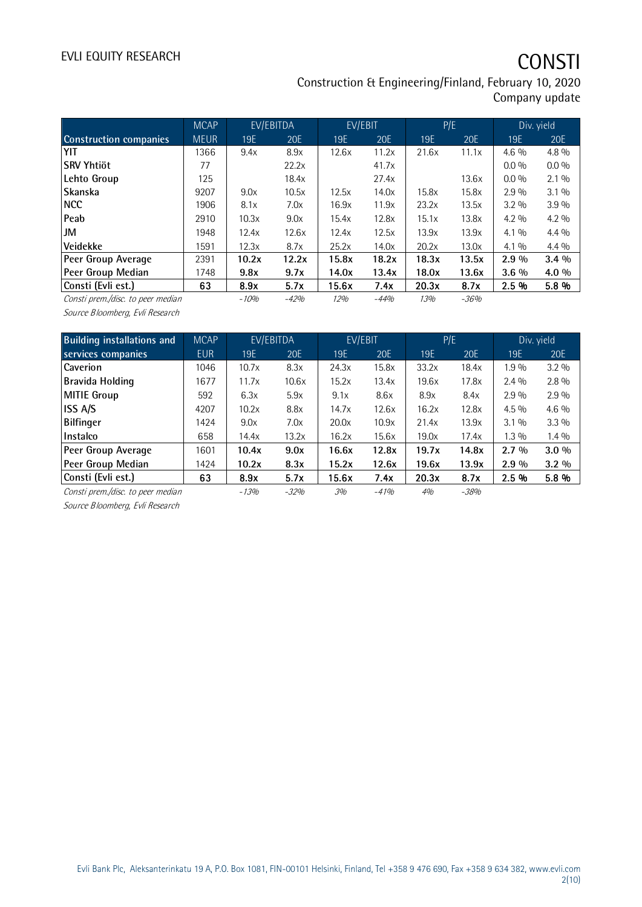## EVLI EQUITY RESEARCH **CONSTI**

Construction & Engineering/Finland, February 10, 2020 Company update

|                                   | <b>MCAP</b> |        | EV/EBITDA | EV/EBIT    |        |       | P/E    |         | Div. yield |
|-----------------------------------|-------------|--------|-----------|------------|--------|-------|--------|---------|------------|
| <b>Construction companies</b>     | <b>MEUR</b> | 19E    | 20E       | <b>19E</b> | 20E    | 19E   | 20E    | 19E     | 20E        |
| YIT                               | 1366        | 9.4x   | 8.9x      | 12.6x      | 11.2x  | 21.6x | 11.1x  | $4.6\%$ | $4.8\%$    |
| lSRV Yhtiöt                       | 77          |        | 22.2x     |            | 41.7x  |       |        | $0.0\%$ | $0.0\%$    |
| Lehto Group                       | 125         |        | 18.4x     |            | 27.4x  |       | 13.6x  | $0.0\%$ | $2.1\%$    |
| <b>Skanska</b>                    | 9207        | 9.0x   | 10.5x     | 12.5x      | 14.0x  | 15.8x | 15.8x  | $2.9\%$ | $3.1\%$    |
| INCC.                             | 1906        | 8.1x   | 7.0x      | 16.9x      | 11.9x  | 23.2x | 13.5x  | $3.2\%$ | $3.9\%$    |
| Peab                              | 2910        | 10.3x  | 9.0x      | 15.4x      | 12.8x  | 15.1x | 13.8x  | $4.2\%$ | $4.2\%$    |
| JM                                | 1948        | 12.4x  | 12.6x     | 12.4x      | 12.5x  | 13.9x | 13.9x  | $4.1\%$ | $4.4\%$    |
| Veidekke                          | 1591        | 12.3x  | 8.7x      | 25.2x      | 14.0x  | 20.2x | 13.0x  | $4.1\%$ | $4.4\%$    |
| Peer Group Average                | 2391        | 10.2x  | 12.2x     | 15.8x      | 18.2x  | 18.3x | 13.5x  | $2.9\%$ | $3.4\%$    |
| Peer Group Median                 | 1748        | 9.8x   | 9.7x      | 14.0x      | 13.4x  | 18.0x | 13.6x  | $3.6\%$ | 4.0 %      |
| Consti (Evli est.)                | 63          | 8.9x   | 5.7x      | 15.6x      | 7.4x   | 20.3x | 8.7x   | 2.5%    | 5.8%       |
| Consti prem./disc. to peer median |             | $-10%$ | $-42%$    | 12%        | $-44%$ | 13%   | $-36%$ |         |            |

Source Bloomberg, Evli Research

| <b>Building installations and</b> | <b>MCAP</b> |        | EV/EBITDA | EV/EBIT |        | P/E   |        |         | Div. yield |
|-----------------------------------|-------------|--------|-----------|---------|--------|-------|--------|---------|------------|
| services companies                | <b>EUR</b>  | 19E    | 20E       | 19E     | 20E    | 19E   | 20E    | 19E     | 20E        |
| <b>Caverion</b>                   | 1046        | 10.7x  | 8.3x      | 24.3x   | 15.8x  | 33.2x | 18.4x  | 1.9%    | $3.2\%$    |
| Bravida Holding                   | 1677        | 11.7x  | 10.6x     | 15.2x   | 13.4x  | 19.6x | 17.8x  | $2.4\%$ | $2.8\%$    |
| <b>MITIE Group</b>                | 592         | 6.3x   | 5.9x      | 9.1x    | 8.6x   | 8.9x  | 8.4x   | 2.9%    | $2.9\%$    |
| ISS A/S                           | 4207        | 10.2x  | 8.8x      | 14.7x   | 12.6x  | 16.2x | 12.8x  | $4.5\%$ | $4.6\%$    |
| Bilfinger                         | 1424        | 9.0x   | 7.0x      | 20.0x   | 10.9x  | 21.4x | 13.9x  | $3.1\%$ | $3.3\%$    |
| Instalco                          | 658         | 14.4x  | 13.2x     | 16.2x   | 15.6x  | 19.0x | 17.4x  | $1.3\%$ | $1.4\%$    |
| Peer Group Average                | 1601        | 10.4x  | 9.0x      | 16.6x   | 12.8x  | 19.7x | 14.8x  | $2.7\%$ | $3.0\%$    |
| Peer Group Median                 | 1424        | 10.2x  | 8.3x      | 15.2x   | 12.6x  | 19.6x | 13.9x  | $2.9\%$ | $3.2\%$    |
| Consti (Evli est.)                | 63          | 8.9x   | 5.7x      | 15.6x   | 7.4x   | 20.3x | 8.7x   | 2.5%    | 5.8 %      |
| Consti prem./disc. to peer median |             | $-13%$ | $-32%$    | 3%      | $-41%$ | 4%    | $-38%$ |         |            |

Source Bloomberg, Evli Research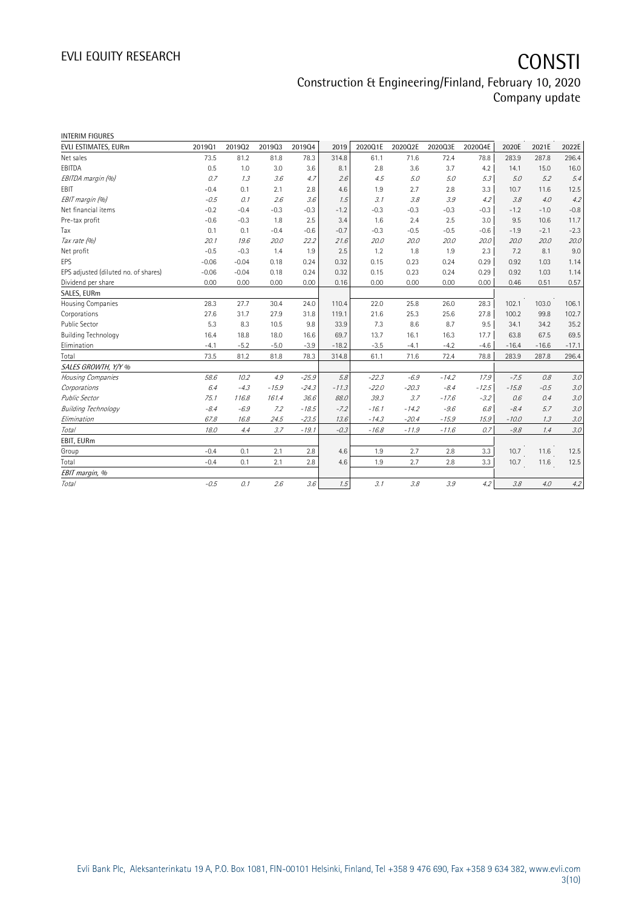| <b>INTERIM FIGURES</b>               |         |         |         |         |         |         |         |         |         |         |         |         |
|--------------------------------------|---------|---------|---------|---------|---------|---------|---------|---------|---------|---------|---------|---------|
| EVLI ESTIMATES, EURm                 | 201901  | 201902  | 201903  | 201904  | 2019    | 2020Q1E | 2020Q2E | 2020Q3E | 2020Q4E | 2020E   | 2021E   | 2022E   |
| Net sales                            | 73.5    | 81.2    | 81.8    | 78.3    | 314.8   | 61.1    | 71.6    | 72.4    | 78.8    | 283.9   | 287.8   | 296.4   |
| EBITDA                               | 0.5     | 1.0     | 3.0     | 3.6     | 8.1     | 2.8     | 3.6     | 3.7     | 4.2     | 14.1    | 15.0    | 16.0    |
| EBITDA margin (%)                    | 0.7     | 1.3     | 3.6     | 4.7     | 2.6     | 4.5     | 5.0     | 5.0     | 5.3     | 5.0     | 5.2     | 5.4     |
| EBIT                                 | $-0.4$  | 0.1     | 2.1     | 2.8     | 4.6     | 1.9     | 2.7     | 2.8     | 3.3     | 10.7    | 11.6    | 12.5    |
| EBIT margin (%)                      | $-0.5$  | 0.1     | 2.6     | 3.6     | 1.5     | 3.1     | 3.8     | 3.9     | 4.2     | 3.8     | 4.0     | 4.2     |
| Net financial items                  | $-0.2$  | $-0.4$  | $-0.3$  | $-0.3$  | $-1.2$  | $-0.3$  | $-0.3$  | $-0.3$  | $-0.3$  | $-1.2$  | $-1.0$  | $-0.8$  |
| Pre-tax profit                       | $-0.6$  | $-0.3$  | 1.8     | 2.5     | 3.4     | 1.6     | 2.4     | 2.5     | 3.0     | 9.5     | 10.6    | 11.7    |
| Tax                                  | 0.1     | 0.1     | $-0.4$  | $-0.6$  | $-0.7$  | $-0.3$  | $-0.5$  | $-0.5$  | $-0.6$  | $-1.9$  | $-2.1$  | $-2.3$  |
| Tax rate (%)                         | 20.1    | 19.6    | 20.0    | 22.2    | 21.6    | 20.0    | 20.0    | 20.0    | 20.0    | 20.0    | 20.0    | 20.0    |
| Net profit                           | $-0.5$  | $-0.3$  | 1.4     | 1.9     | 2.5     | 1.2     | 1.8     | 1.9     | 2.3     | 7.2     | 8.1     | 9.0     |
| <b>EPS</b>                           | $-0.06$ | $-0.04$ | 0.18    | 0.24    | 0.32    | 0.15    | 0.23    | 0.24    | 0.29    | 0.92    | 1.03    | 1.14    |
| EPS adjusted (diluted no. of shares) | $-0.06$ | $-0.04$ | 0.18    | 0.24    | 0.32    | 0.15    | 0.23    | 0.24    | 0.29    | 0.92    | 1.03    | 1.14    |
| Dividend per share                   | 0.00    | 0.00    | 0.00    | 0.00    | 0.16    | 0.00    | 0.00    | 0.00    | 0.00    | 0.46    | 0.51    | 0.57    |
| SALES, EURm                          |         |         |         |         |         |         |         |         |         |         |         |         |
| Housing Companies                    | 28.3    | 27.7    | 30.4    | 24.0    | 110.4   | 22.0    | 25.8    | 26.0    | 28.3    | 102.1   | 103.0   | 106.1   |
| Corporations                         | 27.6    | 31.7    | 27.9    | 31.8    | 119.1   | 21.6    | 25.3    | 25.6    | 27.8    | 100.2   | 99.8    | 102.7   |
| Public Sector                        | 5.3     | 8.3     | 10.5    | 9.8     | 33.9    | 7.3     | 8.6     | 8.7     | 9.5     | 34.1    | 34.2    | 35.2    |
| <b>Building Technology</b>           | 16.4    | 18.8    | 18.0    | 16.6    | 69.7    | 13.7    | 16.1    | 16.3    | 17.7    | 63.8    | 67.5    | 69.5    |
| Elimination                          | $-4.1$  | $-5.2$  | $-5.0$  | $-3.9$  | $-18.2$ | $-3.5$  | $-4.1$  | $-4.2$  | $-4.6$  | $-16.4$ | $-16.6$ | $-17.1$ |
| Total                                | 73.5    | 81.2    | 81.8    | 78.3    | 314.8   | 61.1    | 71.6    | 72.4    | 78.8    | 283.9   | 287.8   | 296.4   |
| SALES GROWTH, Y/Y %                  |         |         |         |         |         |         |         |         |         |         |         |         |
| Housing Companies                    | 58.6    | 10.2    | 4.9     | $-25.9$ | 5.8     | $-22.3$ | $-6.9$  | $-14.2$ | 17.9    | $-7.5$  | 0.8     | 3.0     |
| Corporations                         | 6.4     | $-4.3$  | $-15.9$ | $-24.3$ | $-11.3$ | $-22.0$ | $-20.3$ | $-8.4$  | $-12.5$ | $-15.8$ | $-0.5$  | 3.0     |
| <b>Public Sector</b>                 | 75.1    | 116.8   | 161.4   | 36.6    | 88.0    | 39.3    | 3.7     | $-17.6$ | $-3.2$  | 0.6     | 0.4     | 3.0     |
| <b>Building Technology</b>           | $-8.4$  | $-6.9$  | 7.2     | $-18.5$ | $-7.2$  | $-16.1$ | $-14.2$ | $-9.6$  | 6.8     | $-8.4$  | 5.7     | 3.0     |
| Elimination                          | 67.8    | 16.8    | 24.5    | $-23.5$ | 13.6    | $-14.3$ | $-20.4$ | $-15.9$ | 15.9    | $-10.0$ | 1.3     | 3.0     |
| Total                                | 18.0    | 4.4     | 3.7     | $-19.1$ | $-0.3$  | $-16.8$ | $-11.9$ | $-11.6$ | 0.7     | $-9.8$  | 1.4     | 3.0     |
| EBIT, EURm                           |         |         |         |         |         |         |         |         |         |         |         |         |
| Group                                | $-0.4$  | 0.1     | 2.1     | 2.8     | 4.6     | 1.9     | 2.7     | 2.8     | 3.3     | 10.7    | 11.6    | 12.5    |
| Total                                | $-0.4$  | 0.1     | 2.1     | 2.8     | 4.6     | 1.9     | 2.7     | 2.8     | 3.3     | 10.7    | 11.6    | 12.5    |
| EBIT margin, %                       |         |         |         |         |         |         |         |         |         |         |         |         |
| Total                                | $-0.5$  | 0.1     | 2.6%    | 3.6     | 1.5     | 3.1     | 3.8     | 3.9     | 4.2     | 3.8     | 4.0     | 4.2     |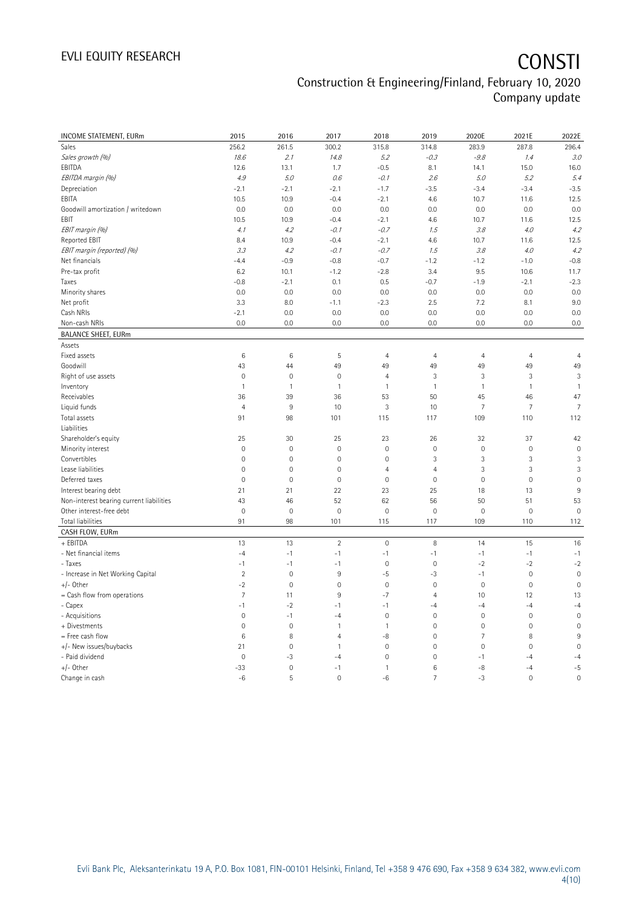| INCOME STATEMENT, EURm                   | 2015                | 2016         | 2017                | 2018           | 2019           | 2020E               | 2021E          | 2022E          |
|------------------------------------------|---------------------|--------------|---------------------|----------------|----------------|---------------------|----------------|----------------|
| Sales                                    | 256.2               | 261.5        | 300.2               | 315.8          | 314.8          | 283.9               | 287.8          | 296.4          |
| Sales growth (%)                         | 18.6                | 2.1          | 14.8                | 5.2            | $-0.3$         | $-9.8$              | 1.4            | 3.0            |
| EBITDA                                   | 12.6                | 13.1         | 1.7                 | $-0.5$         | 8.1            | 14.1                | 15.0           | 16.0           |
| EBITDA margin (%)                        | 4.9                 | 5.0          | 0.6                 | $-0.1$         | 2.6            | 5.0                 | 5.2            | 5.4            |
| Depreciation                             | $-2.1$              | $-2.1$       | $-2.1$              | $-1.7$         | $-3.5$         | $-3.4$              | $-3.4$         | $-3.5$         |
| EBITA                                    | 10.5                | 10.9         | $-0.4$              | $-2.1$         | 4.6            | 10.7                | 11.6           | 12.5           |
| Goodwill amortization / writedown        | 0.0                 | 0.0          | 0.0                 | 0.0            | 0.0            | 0.0                 | 0.0            | 0.0            |
| EBIT                                     | 10.5                | 10.9         | $-0.4$              | $-2.1$         | 4.6            | 10.7                | 11.6           | 12.5           |
| EBIT margin (%)                          | 4.1                 | 4.2          | $-0.1$              | $-0.7$         | 1.5            | 3.8                 | 4.0            | 4.2            |
| Reported EBIT                            | 8.4                 | 10.9         | $-0.4$              | $-2.1$         | 4.6            | 10.7                | 11.6           | 12.5           |
| EBIT margin (reported) (%)               | 3.3                 | 4.2          | $-0.1$              | $-0.7$         | 1.5            | 3.8                 | 4.0            | 4.2            |
| Net financials                           | $-4.4$              | $-0.9$       | $-0.8$              | $-0.7$         | $-1.2$         | $-1.2$              | $-1.0$         | $-0.8$         |
| Pre-tax profit                           | 6.2                 | 10.1         | $-1.2$              | $-2.8$         | 3.4            | 9.5                 | 10.6           | 11.7           |
| Taxes                                    | $-0.8$              | $-2.1$       | 0.1                 | 0.5            | $-0.7$         | $-1.9$              | $-2.1$         | $-2.3$         |
| Minority shares                          | 0.0                 | 0.0          | 0.0                 | 0.0            | 0.0            | 0.0                 | 0.0            | 0.0            |
| Net profit                               | 3.3                 | 8.0          | $-1.1$              | $-2.3$         | 2.5            | 7.2                 | 8.1            | 9.0            |
| Cash NRIs                                | $-2.1$              | 0.0          | 0.0                 | 0.0            | 0.0            | 0.0                 | 0.0            | 0.0            |
| Non-cash NRIs                            | 0.0                 | 0.0          | 0.0                 | 0.0            | 0.0            | 0.0                 | 0.0            | 0.0            |
| <b>BALANCE SHEET, EURm</b>               |                     |              |                     |                |                |                     |                |                |
| Assets                                   |                     |              |                     |                |                |                     |                |                |
| Fixed assets                             | 6                   | 6            | 5                   | $\overline{4}$ | $\overline{4}$ | $\overline{4}$      | $\overline{4}$ | $\overline{4}$ |
| Goodwill                                 | 43                  | 44           | 49                  | 49             | 49             | 49                  | 49             | 49             |
| Right of use assets                      | $\mathbf 0$         | $\mathbf 0$  | 0                   | $\overline{4}$ | 3              | 3                   | $\sqrt{3}$     | 3              |
| Inventory                                | $\mathbf{1}$        | $\mathbf{1}$ | $\mathbf{1}$        | $\overline{1}$ | $\mathbf{1}$   | $\mathbf{1}$        | $\mathbf{1}$   | $\mathbf{1}$   |
| Receivables                              | 36                  | 39           | 36                  | 53             | 50             | 45                  | 46             | 47             |
| Liquid funds                             | $\overline{4}$      | 9            | 10                  | 3              | 10             | $\overline{7}$      | $\overline{7}$ | $\overline{7}$ |
| Total assets                             | 91                  | 98           | 101                 | 115            | 117            | 109                 | 110            | 112            |
| Liabilities                              |                     |              |                     |                |                |                     |                |                |
| Shareholder's equity                     | 25                  | 30           | 25                  | 23             | 26             | 32                  | 37             | 42             |
| Minority interest                        | $\mathbf 0$         | $\mathbf 0$  | 0                   | $\mathbf 0$    | $\mathbf 0$    | $\mathbf 0$         | $\mathbf 0$    | $\mathbf 0$    |
| Convertibles                             | $\mathbf 0$         | $\mathbf 0$  | $\mathsf{O}\xspace$ | $\mathbf 0$    | 3              | 3                   | 3              | 3              |
| Lease liabilities                        | $\mathsf{O}\xspace$ | $\mathbf 0$  | 0                   | $\overline{4}$ | $\overline{4}$ | 3                   | 3              | 3              |
| Deferred taxes                           | $\mathbf 0$         | $\mathbf 0$  | 0                   | $\mathbf 0$    | $\mathbf 0$    | $\mathsf{O}\xspace$ | $\mathbf 0$    | $\mathbf 0$    |
| Interest bearing debt                    | 21                  | 21           | 22                  | 23             | 25             | 18                  | 13             | $9\,$          |
| Non-interest bearing current liabilities | 43                  | 46           | 52                  | 62             | 56             | 50                  | 51             | 53             |
| Other interest-free debt                 | $\mathbf 0$         | $\mathbf 0$  | $\mathsf{O}\xspace$ | $\mathbf 0$    | $\mathbf 0$    | $\mathbf 0$         | $\mathbf 0$    | $\mathbf 0$    |
| Total liabilities                        | 91                  | 98           | 101                 | 115            | 117            | 109                 | 110            | 112            |
| CASH FLOW, EURm                          |                     |              |                     |                |                |                     |                |                |
| + EBITDA                                 | 13                  | 13           | $\overline{2}$      | $\mathbf 0$    | 8              | 14                  | 15             | 16             |
| - Net financial items                    | $-4$                | $-1$         | $-1$                | $-1$           | $-1$           | $-1$                | $-1$           | $-1$           |
| - Taxes                                  | $-1$                | $-1$         | $-1$                | $\mathbb O$    | $\mathbf 0$    | $-2$                | $-2$           | $-2$           |
| - Increase in Net Working Capital        | $\overline{2}$      | $\mathbf 0$  | $9\,$               | $-5$           | $-3$           | $-1$                | $\mathbf 0$    | $\mathbf 0$    |
| $+/-$ Other                              | $-2$                | $\mathbf 0$  | $\mathsf{O}\xspace$ | $\mathbf 0$    | $\mathbf 0$    | $\mathsf{O}\xspace$ | $\mathbf 0$    | $\mathbf 0$    |
| $=$ Cash flow from operations            | $\overline{7}$      | 11           | 9                   | $-7$           | $\overline{4}$ | 10                  | 12             | 13             |
| - Capex                                  | $-1$                | $-2$         | $-1$                | $-1$           | $-4$           | $-4$                | $-4$           | $-4$           |
| - Acquisitions                           | $\overline{0}$      | $-1$         | $-4$                | $\mathbf 0$    | $\mathbf 0$    | $\mathsf{O}\xspace$ | $\mathbf 0$    | $\mathbf 0$    |
| + Divestments                            | $\mathbf 0$         | $\mathbf 0$  | $\mathbf{1}$        | $\mathbf{1}$   | $\mathbf 0$    | $\mathsf{O}\xspace$ | $\mathbf 0$    | $\mathbf 0$    |
| = Free cash flow                         | 6                   | 8            | $\overline{4}$      | -8             | $\mathbf 0$    | $\overline{7}$      | 8              | $\,9$          |
| +/- New issues/buybacks                  | 21                  | $\mathbf 0$  | $\mathbf{1}$        | $\mathbf 0$    | 0              | $\mathbf 0$         | $\mathbf 0$    | $\mathbf 0$    |
| - Paid dividend                          | $\mathbf 0$         | $-3$         | $-4$                | $\mathbf 0$    | $\overline{0}$ | $-1$                | -4             | $-4$           |
| $+/-$ Other                              | $-33$               | $\mathbf 0$  | $-1$                | $\mathbf{1}$   | 6              | $-8$                | $-4$           | $-5$           |
| Change in cash                           | $-6$                | 5            | $\mathbf 0$         | $-6$           | $\overline{7}$ | $-3$                | $\mathbf 0$    | $\overline{0}$ |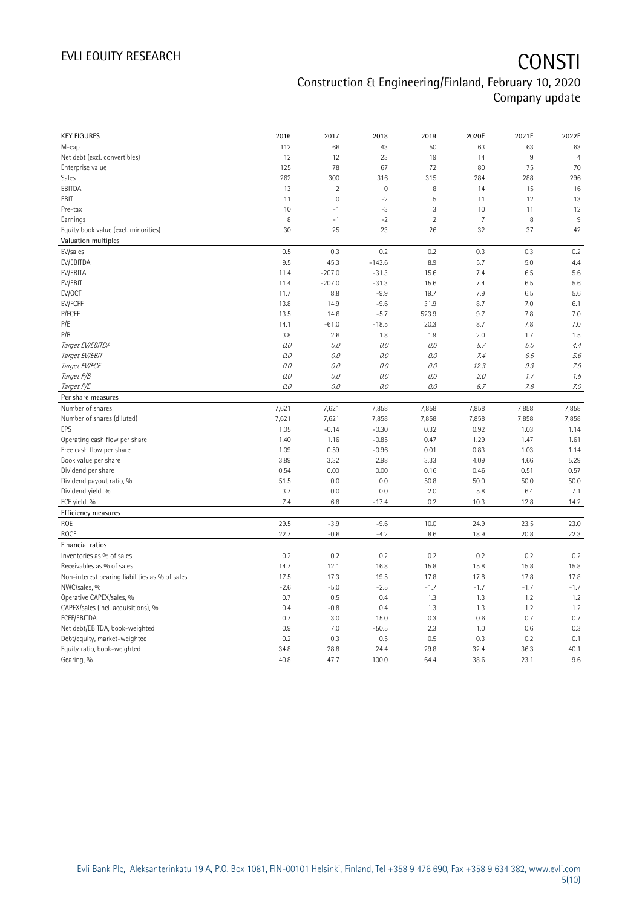| <b>KEY FIGURES</b>                                              | 2016    | 2017           | 2018        | 2019           | 2020E          | 2021E  | 2022E          |
|-----------------------------------------------------------------|---------|----------------|-------------|----------------|----------------|--------|----------------|
| M-cap                                                           | 112     | 66             | 43          | 50             | 63             | 63     | 63             |
| Net debt (excl. convertibles)                                   | 12      | 12             | 23          | 19             | 14             | $\,9$  | $\overline{4}$ |
| Enterprise value                                                | 125     | 78             | 67          | 72             | 80             | 75     | 70             |
| Sales                                                           | 262     | 300            | 316         | 315            | 284            | 288    | 296            |
| EBITDA                                                          | 13      | $\overline{2}$ | $\mathbf 0$ | 8              | 14             | 15     | 16             |
| EBIT                                                            | 11      | $\mathbf 0$    | $-2$        | 5              | 11             | 12     | 13             |
| Pre-tax                                                         | 10      | $-1$           | $-3$        | 3              | 10             | 11     | 12             |
| Earnings                                                        | 8       | $-1$           | $-2$        | $\overline{2}$ | $\overline{7}$ | 8      | 9              |
| Equity book value (excl. minorities)                            | 30      | 25             | 23          | 26             | 32             | 37     | 42             |
| Valuation multiples                                             |         |                |             |                |                |        |                |
| EV/sales                                                        | 0.5     | 0.3            | 0.2         | 0.2            | 0.3            | 0.3    | 0.2            |
| EV/EBITDA                                                       | 9.5     | 45.3           | $-143.6$    | 8.9            | 5.7            | 5.0    | 4.4            |
| EV/EBITA                                                        | 11.4    | $-207.0$       | $-31.3$     | 15.6           | 7.4            | 6.5    | 5.6            |
| EV/EBIT                                                         | 11.4    | $-207.0$       | $-31.3$     | 15.6           | 7.4            | 6.5    | 5.6            |
| EV/OCF                                                          | 11.7    | 8.8            | $-9.9$      | 19.7           | 7.9            | 6.5    | 5.6            |
| EV/FCFF                                                         | 13.8    | 14.9           | $-9.6$      | 31.9           | 8.7            | 7.0    | 6.1            |
| P/FCFE                                                          | 13.5    | 14.6           | $-5.7$      | 523.9          | 9.7            | 7.8    | 7.0            |
| P/E                                                             | 14.1    | $-61.0$        | $-18.5$     | 20.3           | 8.7            | 7.8    | 7.0            |
| P/B                                                             | 3.8     | 2.6            | 1.8         | 1.9            | 2.0            | 1.7    | 1.5            |
| Target EV/EBITDA                                                | $0.0$   | 0.0            | 0.0         | $O.O$          | 5.7            | 5.0    | 4.4            |
| Target EV/EBIT                                                  | O.O     | 0.0            | 0.0         | 0.0            | 7.4            | 6.5    | 5.6            |
| Target EV/FCF                                                   | 0.0     | 0.0            | 0.0         | 0.0            | 12.3           | 9.3    | 7.9            |
| Target P/B                                                      | $0.0\,$ | $O.O$          | 0.0         | $O.O$          | 2.0            | 1.7    | 1.5            |
| Target P/E                                                      | 0.0     | 0.0            | 0.0         | $O.O$          | 8.7            | 7.8    | 7.0            |
| Per share measures                                              |         |                |             |                |                |        |                |
| Number of shares                                                | 7,621   | 7,621          | 7,858       | 7,858          | 7,858          | 7,858  | 7,858          |
| Number of shares (diluted)                                      | 7,621   | 7,621          | 7,858       | 7,858          | 7,858          | 7,858  | 7,858          |
|                                                                 |         |                |             |                |                | 1.03   |                |
| EPS                                                             | 1.05    | $-0.14$        | $-0.30$     | 0.32           | 0.92           |        | 1.14           |
| Operating cash flow per share                                   | 1.40    | 1.16           | $-0.85$     | 0.47           | 1.29           | 1.47   | 1.61           |
| Free cash flow per share                                        | 1.09    | 0.59           | $-0.96$     | 0.01           | 0.83           | 1.03   | 1.14           |
| Book value per share                                            | 3.89    | 3.32           | 2.98        | 3.33           | 4.09           | 4.66   | 5.29           |
| Dividend per share                                              | 0.54    | 0.00           | 0.00        | 0.16           | 0.46           | 0.51   | 0.57           |
| Dividend payout ratio, %                                        | 51.5    | 0.0            | 0.0         | 50.8           | 50.0           | 50.0   | 50.0           |
| Dividend yield, %                                               | 3.7     | 0.0            | 0.0         | 2.0            | 5.8            | 6.4    | 7.1            |
| FCF yield, %                                                    | 7.4     | 6.8            | $-17.4$     | 0.2            | 10.3           | 12.8   | 14.2           |
| Efficiency measures                                             |         |                |             |                |                |        |                |
| ROE                                                             | 29.5    | $-3.9$         | $-9.6$      | 10.0           | 24.9           | 23.5   | 23.0           |
| ROCE                                                            | 22.7    | $-0.6$         | $-4.2$      | 8.6            | 18.9           | 20.8   | 22.3           |
| Financial ratios                                                |         |                |             |                |                |        |                |
| Inventories as % of sales                                       | 0.2     | 0.2            | 0.2         | 0.2            | 0.2            | 0.2    | 0.2            |
| Receivables as % of sales                                       | 14.7    | 12.1           | 16.8        | 15.8           | 15.8           | 15.8   | 15.8           |
| Non-interest bearing liabilities as % of sales                  | 17.5    | 17.3           | 19.5        | 17.8           | 17.8           | 17.8   | 17.8           |
| NWC/sales, %                                                    | $-2.6$  | $-5.0$         | $-2.5$      | $-1.7$         | $-1.7$         | $-1.7$ | $-1.7$         |
|                                                                 | 0.7     | 0.5            | 0.4         | 1.3            | 1.3            | 1.2    | 1.2            |
| Operative CAPEX/sales, %<br>CAPEX/sales (incl. acquisitions), % | 0.4     | $-0.8$         | 0.4         | 1.3            | 1.3            | 1.2    | 1.2            |
| FCFF/EBITDA                                                     | 0.7     | 3.0            | 15.0        | 0.3            | 0.6            | 0.7    | 0.7            |
| Net debt/EBITDA, book-weighted                                  | 0.9     | 7.0            | $-50.5$     | 2.3            | 1.0            | 0.6    | 0.3            |
| Debt/equity, market-weighted                                    | 0.2     | 0.3            | 0.5         | 0.5            | 0.3            | 0.2    | 0.1            |
| Equity ratio, book-weighted                                     | 34.8    | 28.8           | 24.4        | 29.8           | 32.4           | 36.3   | 40.1           |
| Gearing, %                                                      | 40.8    | 47.7           | 100.0       | 64.4           | 38.6           | 23.1   | 9.6            |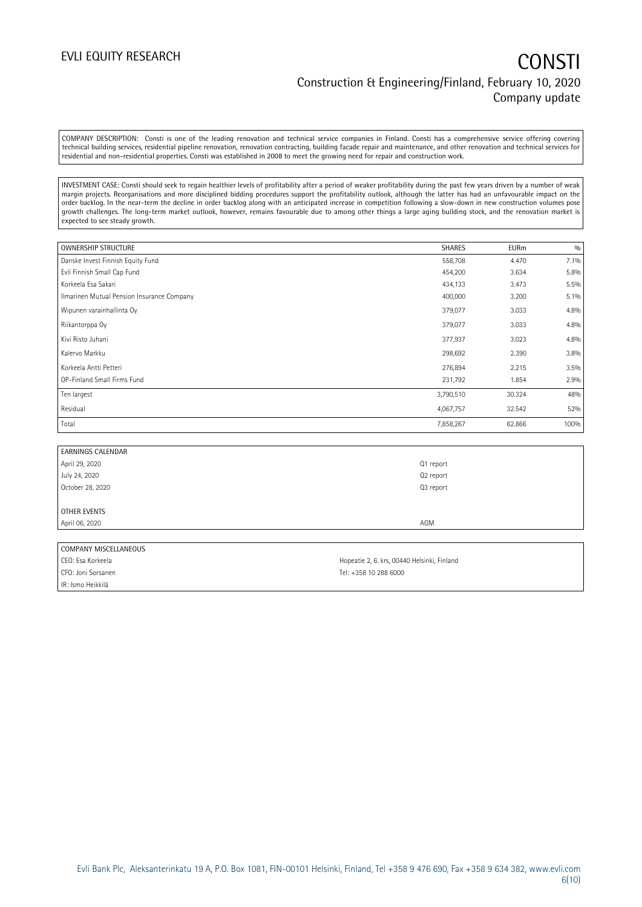COMPANY DESCRIPTION: Consti is one of the leading renovation and technical service companies in Finland. Consti has a comprehensive service offering covering technical building services, residential pipeline renovation, renovation contracting, building facade repair and maintenance, and other renovation and technical services for residential and non-residential properties. Consti was established in 2008 to meet the growing need for repair and construction work.

INVESTMENT CASE: Consti should seek to regain healthier levels of profitability after a period of weaker profitability during the past few years driven by a number of weak margin projects. Reorganisations and more disciplined bidding procedures support the profitability outlook, although the latter has had an unfavourable impact on the order backlog. In the near-term the decline in order backlog along with an anticipated increase in competition following a slow-down in new construction volumes pose growth challenges. The long-term market outlook, however, remains favourable due to among other things a large aging building stock, and the renovation market is expected to see steady growth.

| <b>OWNERSHIP STRUCTURE</b>                 | <b>SHARES</b> | <b>EURm</b> | 0/0  |
|--------------------------------------------|---------------|-------------|------|
| Danske Invest Finnish Equity Fund          | 558,708       | 4.470       | 7.1% |
| Evli Finnish Small Cap Fund                | 454,200       | 3.634       | 5.8% |
| Korkeela Esa Sakari                        | 434,133       | 3.473       | 5.5% |
| Ilmarinen Mutual Pension Insurance Company | 400,000       | 3.200       | 5.1% |
| Wipunen varainhallinta Oy                  | 379,077       | 3.033       | 4.8% |
| Riikantorppa Oy                            | 379,077       | 3.033       | 4.8% |
| Kivi Risto Juhani                          | 377,937       | 3.023       | 4.8% |
| Kalervo Markku                             | 298,692       | 2.390       | 3.8% |
| Korkeela Antti Petteri                     | 276,894       | 2.215       | 3.5% |
| OP-Finland Small Firms Fund                | 231,792       | 1.854       | 2.9% |
| Ten largest                                | 3,790,510     | 30.324      | 48%  |
| Residual                                   | 4,067,757     | 32.542      | 52%  |
| Total                                      | 7,858,267     | 62.866      | 100% |

| <b>EARNINGS CALENDAR</b> |           |
|--------------------------|-----------|
| April 29, 2020           | Q1 report |
| July 24, 2020            | Q2 report |
| October 28, 2020         | Q3 report |
|                          |           |
| OTHER EVENTS             |           |
| April 06, 2020           | AGM       |

### COMPANY MISCELLANEOUS

CFO: Joni Sorsanen Tel: +358 10 288 6000 IR: Ismo Heikkilä

CEO: Esa Korkeela **Hopeatie 2, 6. krs, 00440 Helsinki, Finland**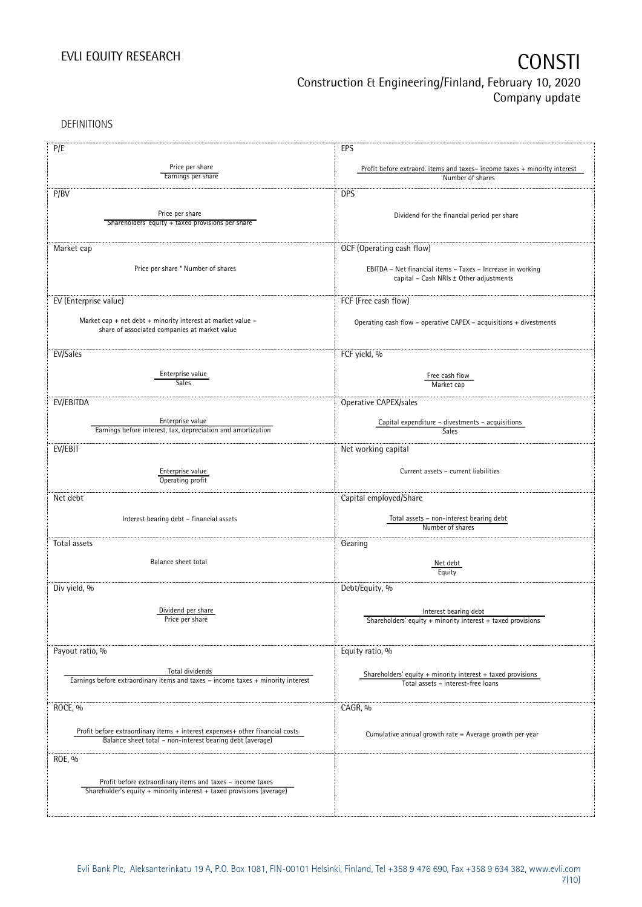DEFINITIONS

| P/E                                                                              | EPS                                                                                               |
|----------------------------------------------------------------------------------|---------------------------------------------------------------------------------------------------|
|                                                                                  |                                                                                                   |
| Price per share<br>Earnings per share                                            | Profit before extraord. items and taxes-income taxes + minority interest<br>Number of shares      |
|                                                                                  |                                                                                                   |
| P/BV                                                                             | <b>DPS</b>                                                                                        |
|                                                                                  |                                                                                                   |
| Price per share                                                                  | Dividend for the financial period per share                                                       |
| Shareholders' equity + taxed provisions per share                                |                                                                                                   |
|                                                                                  |                                                                                                   |
| Market cap                                                                       | OCF (Operating cash flow)                                                                         |
|                                                                                  |                                                                                                   |
| Price per share * Number of shares                                               | EBITDA - Net financial items - Taxes - Increase in working                                        |
|                                                                                  | capital - Cash NRIs ± Other adjustments                                                           |
|                                                                                  |                                                                                                   |
| EV (Enterprise value)                                                            | FCF (Free cash flow)                                                                              |
|                                                                                  |                                                                                                   |
| Market cap + net debt + minority interest at market value -                      | Operating cash flow - operative CAPEX - acquisitions + divestments                                |
| share of associated companies at market value                                    |                                                                                                   |
|                                                                                  |                                                                                                   |
| EV/Sales                                                                         | FCF yield, %                                                                                      |
|                                                                                  |                                                                                                   |
| Enterprise value                                                                 | Free cash flow                                                                                    |
| Sales                                                                            | Market cap                                                                                        |
|                                                                                  |                                                                                                   |
| EV/EBITDA                                                                        | Operative CAPEX/sales                                                                             |
| Enterprise value                                                                 |                                                                                                   |
| Earnings before interest, tax, depreciation and amortization                     | Capital expenditure - divestments - acquisitions<br>Sales                                         |
|                                                                                  |                                                                                                   |
| EV/EBIT                                                                          | Net working capital                                                                               |
|                                                                                  |                                                                                                   |
| Enterprise value                                                                 | Current assets - current liabilities                                                              |
| Operating profit                                                                 |                                                                                                   |
| Net debt                                                                         | Capital employed/Share                                                                            |
|                                                                                  |                                                                                                   |
| Interest bearing debt - financial assets                                         | Total assets - non-interest bearing debt                                                          |
|                                                                                  | Number of shares                                                                                  |
|                                                                                  |                                                                                                   |
| Total assets                                                                     | Gearing                                                                                           |
| Balance sheet total                                                              | Net debt                                                                                          |
|                                                                                  | Equity                                                                                            |
|                                                                                  |                                                                                                   |
| Div yield, %                                                                     | Debt/Equity, %                                                                                    |
|                                                                                  |                                                                                                   |
| Dividend per share                                                               | Interest bearing debt                                                                             |
| Price per share                                                                  | Shareholders' equity $+$ minority interest $+$ taxed provisions                                   |
|                                                                                  |                                                                                                   |
|                                                                                  |                                                                                                   |
| Payout ratio, %                                                                  | Equity ratio, %                                                                                   |
| Total dividends                                                                  |                                                                                                   |
| Earnings before extraordinary items and taxes - income taxes + minority interest | Shareholders' equity + minority interest + taxed provisions<br>Total assets - interest-free loans |
|                                                                                  |                                                                                                   |
|                                                                                  |                                                                                                   |
| ROCE, %                                                                          | CAGR, %                                                                                           |
|                                                                                  |                                                                                                   |
| Profit before extraordinary items + interest expenses+ other financial costs     | Cumulative annual growth rate = Average growth per year                                           |
| Balance sheet total - non-interest bearing debt (average)                        |                                                                                                   |
|                                                                                  |                                                                                                   |
| ROE, %                                                                           |                                                                                                   |
|                                                                                  |                                                                                                   |
| Profit before extraordinary items and taxes - income taxes                       |                                                                                                   |
| Shareholder's equity + minority interest + taxed provisions (average)            |                                                                                                   |
|                                                                                  |                                                                                                   |
|                                                                                  |                                                                                                   |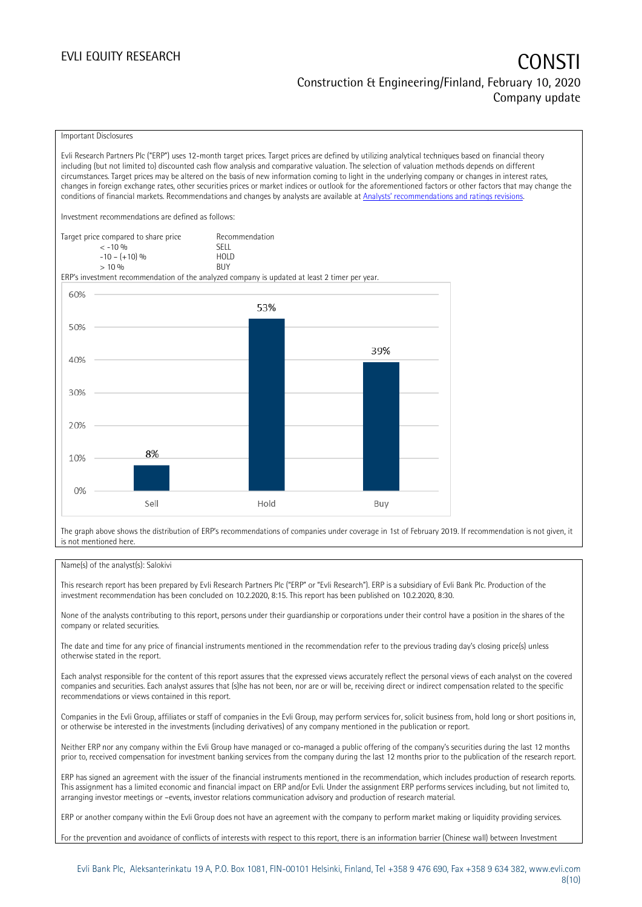### EVLI EQUITY RESEARCH **CONSTITUTE OF A CONSTITUTE OF A CONSTITUTE OF A CONSTITUTE OF A CONSTITUTE OF A CONSTITUTE** Construction & Engineering/Finland, February 10, 2020 Company update

#### Important Disclosures

Evli Research Partners Plc ("ERP") uses 12-month target prices. Target prices are defined by utilizing analytical techniques based on financial theory including (but not limited to) discounted cash flow analysis and comparative valuation. The selection of valuation methods depends on different circumstances. Target prices may be altered on the basis of new information coming to light in the underlying company or changes in interest rates, changes in foreign exchange rates, other securities prices or market indices or outlook for the aforementioned factors or other factors that may change the conditions of financial markets. Recommendations and changes by analysts are available at [Analysts' recommendations and ratings revisions](https://research.evli.com/JasperAllModels.action?authParam=key;461&authParam=x;G3rNagWrtf7K&authType=3). Investment recommendations are defined as follows: Target price compared to share price Recommendation < -10 % SELL  $-10 - (+10) \%$  HOL<br>  $> 10 \%$  BUY  $> 10\%$ ERP's investment recommendation of the analyzed company is updated at least 2 timer per year. 60% 53% 50% 39% 40% 30% 20% 8% 10%  $0%$ Hold Sell Buy

The graph above shows the distribution of ERP's recommendations of companies under coverage in 1st of February 2019. If recommendation is not given, it is not mentioned here.

#### Name(s) of the analyst(s): Salokivi

This research report has been prepared by Evli Research Partners Plc ("ERP" or "Evli Research"). ERP is a subsidiary of Evli Bank Plc. Production of the investment recommendation has been concluded on 10.2.2020, 8:15. This report has been published on 10.2.2020, 8:30.

None of the analysts contributing to this report, persons under their guardianship or corporations under their control have a position in the shares of the company or related securities.

The date and time for any price of financial instruments mentioned in the recommendation refer to the previous trading day's closing price(s) unless otherwise stated in the report.

Each analyst responsible for the content of this report assures that the expressed views accurately reflect the personal views of each analyst on the covered companies and securities. Each analyst assures that (s)he has not been, nor are or will be, receiving direct or indirect compensation related to the specific recommendations or views contained in this report.

Companies in the Evli Group, affiliates or staff of companies in the Evli Group, may perform services for, solicit business from, hold long or short positions in, or otherwise be interested in the investments (including derivatives) of any company mentioned in the publication or report.

Neither ERP nor any company within the Evli Group have managed or co-managed a public offering of the company's securities during the last 12 months prior to, received compensation for investment banking services from the company during the last 12 months prior to the publication of the research report.

ERP has signed an agreement with the issuer of the financial instruments mentioned in the recommendation, which includes production of research reports. This assignment has a limited economic and financial impact on ERP and/or Evli. Under the assignment ERP performs services including, but not limited to, arranging investor meetings or –events, investor relations communication advisory and production of research material.

ERP or another company within the Evli Group does not have an agreement with the company to perform market making or liquidity providing services.

For the prevention and avoidance of conflicts of interests with respect to this report, there is an information barrier (Chinese wall) between Investment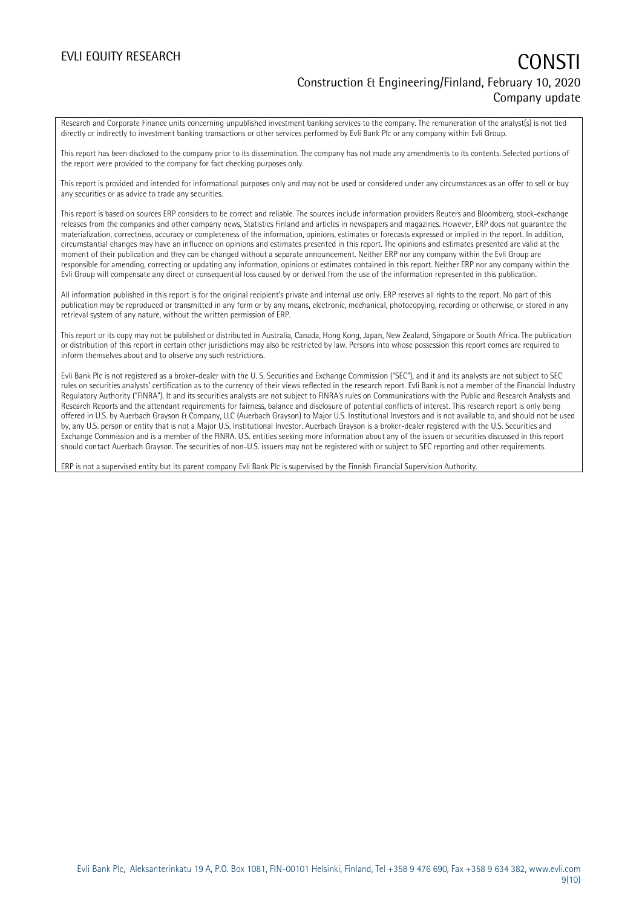### EVLI EQUITY RESEARCH **CONSTITUTE OF A CONSTITUTE OF A CONSTITUTE OF A CONSTITUTE OF A CONSTITUTE OF A CONSTITUTE** Construction & Engineering/Finland, February 10, 2020 Company update

Research and Corporate Finance units concerning unpublished investment banking services to the company. The remuneration of the analyst(s) is not tied directly or indirectly to investment banking transactions or other services performed by Evli Bank Plc or any company within Evli Group.

This report has been disclosed to the company prior to its dissemination. The company has not made any amendments to its contents. Selected portions of the report were provided to the company for fact checking purposes only.

This report is provided and intended for informational purposes only and may not be used or considered under any circumstances as an offer to sell or buy any securities or as advice to trade any securities.

This report is based on sources ERP considers to be correct and reliable. The sources include information providers Reuters and Bloomberg, stock-exchange releases from the companies and other company news, Statistics Finland and articles in newspapers and magazines. However, ERP does not guarantee the materialization, correctness, accuracy or completeness of the information, opinions, estimates or forecasts expressed or implied in the report. In addition, circumstantial changes may have an influence on opinions and estimates presented in this report. The opinions and estimates presented are valid at the moment of their publication and they can be changed without a separate announcement. Neither ERP nor any company within the Evli Group are responsible for amending, correcting or updating any information, opinions or estimates contained in this report. Neither ERP nor any company within the Evli Group will compensate any direct or consequential loss caused by or derived from the use of the information represented in this publication.

All information published in this report is for the original recipient's private and internal use only. ERP reserves all rights to the report. No part of this publication may be reproduced or transmitted in any form or by any means, electronic, mechanical, photocopying, recording or otherwise, or stored in any retrieval system of any nature, without the written permission of ERP.

This report or its copy may not be published or distributed in Australia, Canada, Hong Kong, Japan, New Zealand, Singapore or South Africa. The publication or distribution of this report in certain other jurisdictions may also be restricted by law. Persons into whose possession this report comes are required to inform themselves about and to observe any such restrictions.

Evli Bank Plc is not registered as a broker-dealer with the U. S. Securities and Exchange Commission ("SEC"), and it and its analysts are not subject to SEC rules on securities analysts' certification as to the currency of their views reflected in the research report. Evli Bank is not a member of the Financial Industry Regulatory Authority ("FINRA"). It and its securities analysts are not subject to FINRA's rules on Communications with the Public and Research Analysts and Research Reports and the attendant requirements for fairness, balance and disclosure of potential conflicts of interest. This research report is only being offered in U.S. by Auerbach Grayson & Company, LLC (Auerbach Grayson) to Major U.S. Institutional Investors and is not available to, and should not be used by, any U.S. person or entity that is not a Major U.S. Institutional Investor. Auerbach Grayson is a broker-dealer registered with the U.S. Securities and Exchange Commission and is a member of the FINRA. U.S. entities seeking more information about any of the issuers or securities discussed in this report should contact Auerbach Grayson. The securities of non-U.S. issuers may not be registered with or subject to SEC reporting and other requirements.

ERP is not a supervised entity but its parent company Evli Bank Plc is supervised by the Finnish Financial Supervision Authority.